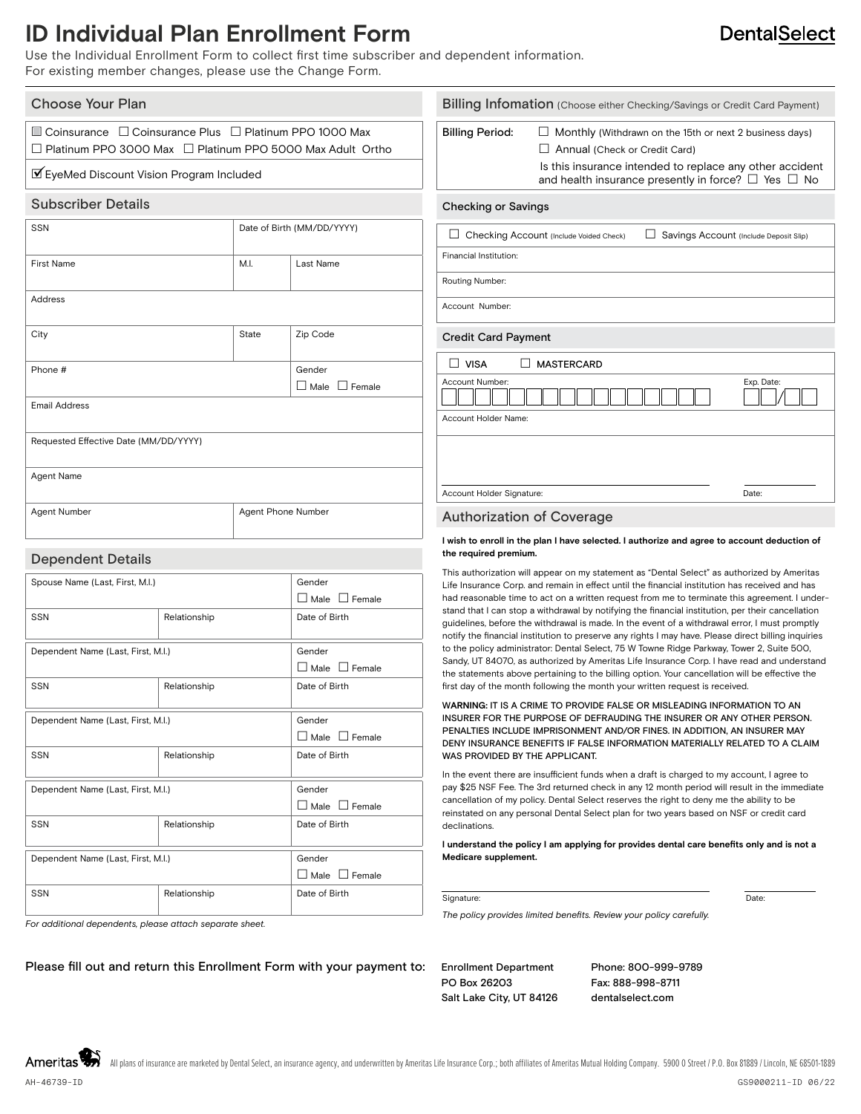### **ID Individual Plan Enrollment Form**

Use the Individual Enrollment Form to collect first time subscriber and dependent information. For existing member changes, please use the Change Form.

| Choose Your Plan                                                                                                                                                                                     |                            |                                     | Billing Infomation (Choose either Checking/Savings or Credit Card Payment) |                                                                                                                                                                                                                                     |       |  |
|------------------------------------------------------------------------------------------------------------------------------------------------------------------------------------------------------|----------------------------|-------------------------------------|----------------------------------------------------------------------------|-------------------------------------------------------------------------------------------------------------------------------------------------------------------------------------------------------------------------------------|-------|--|
| $\Box$ Coinsurance $\Box$ Coinsurance Plus $\Box$ Platinum PPO 1000 Max<br>$\Box$ Platinum PPO 3000 Max $\Box$ Platinum PPO 5000 Max Adult Ortho<br><b>Ø</b> EyeMed Discount Vision Program Included |                            |                                     | <b>Billing Period:</b>                                                     | $\Box$ Monthly (Withdrawn on the 15th or next 2 business days)<br>$\Box$ Annual (Check or Credit Card)<br>Is this insurance intended to replace any other accident<br>and health insurance presently in force? $\Box$ Yes $\Box$ No |       |  |
| <b>Subscriber Details</b>                                                                                                                                                                            |                            |                                     | <b>Checking or Savings</b>                                                 |                                                                                                                                                                                                                                     |       |  |
| <b>SSN</b>                                                                                                                                                                                           | Date of Birth (MM/DD/YYYY) |                                     |                                                                            | Checking Account (Include Voided Check)<br>Savings Account (Include Deposit Slip)                                                                                                                                                   |       |  |
| <b>First Name</b>                                                                                                                                                                                    | M.I.                       | Last Name                           | Financial Institution:                                                     |                                                                                                                                                                                                                                     |       |  |
| Address                                                                                                                                                                                              |                            |                                     | Account Number:                                                            | Routing Number:                                                                                                                                                                                                                     |       |  |
| City                                                                                                                                                                                                 | State                      | Zip Code                            | <b>Credit Card Payment</b>                                                 |                                                                                                                                                                                                                                     |       |  |
| Phone #                                                                                                                                                                                              |                            | Gender<br>$\Box$ Male $\Box$ Female | $\Box$ VISA<br>Account Number:                                             | MASTERCARD<br>Exp. Date:                                                                                                                                                                                                            |       |  |
| <b>Email Address</b>                                                                                                                                                                                 |                            |                                     | Account Holder Name:                                                       |                                                                                                                                                                                                                                     |       |  |
| Requested Effective Date (MM/DD/YYYY)                                                                                                                                                                |                            |                                     |                                                                            |                                                                                                                                                                                                                                     |       |  |
| <b>Agent Name</b>                                                                                                                                                                                    |                            |                                     | Account Holder Signature:                                                  |                                                                                                                                                                                                                                     | Date: |  |
| Agent Number                                                                                                                                                                                         | Agent Phone Number         |                                     |                                                                            | <b>Authorization of Coverage</b>                                                                                                                                                                                                    |       |  |
| <b>Dependent Details</b>                                                                                                                                                                             |                            |                                     |                                                                            | I wish to enroll in the plan I have selected. I authorize and agree to account deduction of<br>the required premium.                                                                                                                |       |  |
|                                                                                                                                                                                                      |                            |                                     |                                                                            | This authorization will appear on my statement as "Dental Select" as authorized by Ameritas                                                                                                                                         |       |  |
| Spouse Name (Last, First, M.I.)                                                                                                                                                                      | Gender                     |                                     |                                                                            | Life Insurance Corp. and remain in effect until the financial institution has received and has<br>had reasonable time to act on a written request from me to terminate this agreement. I under-                                     |       |  |
|                                                                                                                                                                                                      | $\Box$ Male $\Box$ Female  |                                     |                                                                            |                                                                                                                                                                                                                                     |       |  |

| Spouse Name (Last, First, M.I.)    | Gender       |                           |
|------------------------------------|--------------|---------------------------|
|                                    |              | $\Box$ Male $\Box$ Female |
| SSN                                | Relationship | Date of Birth             |
|                                    |              |                           |
| Dependent Name (Last, First, M.I.) | Gender       |                           |
|                                    |              | $\Box$ Male $\Box$ Female |
| SSN                                | Relationship | Date of Birth             |
|                                    |              |                           |
| Dependent Name (Last, First, M.I.) | Gender       |                           |
|                                    |              | $\Box$ Male $\Box$ Female |
| SSN                                | Relationship | Date of Birth             |
|                                    |              |                           |
| Dependent Name (Last, First, M.I.) | Gender       |                           |
|                                    |              | $\Box$ Male $\Box$ Female |
| SSN                                | Relationship | Date of Birth             |
|                                    |              |                           |
| Dependent Name (Last, First, M.I.) | Gender       |                           |
|                                    |              | □ Male □ Female           |
| SSN                                | Relationship | Date of Birth             |
|                                    |              |                           |

#### first day of the month following the month your written request is received. W**ARNING:** IT IS A CRIME TO PROVIDE FALSE OR MISLEADING INFORMATION TO AN INSURER FOR THE PURPOSE OF DEFRAUDING THE INSURER OR ANY OTHER PERSON. PENALTIES INCLUDE IMPRISONMENT AND/OR FINES. IN ADDITION, AN INSURER MAY DENY INSURANCE BENEFITS IF FALSE INFORMATION MATERIALLY RELATED TO A CLAIM WAS PROVIDED BY THE APPLICANT.

stand that I can stop a withdrawal by notifying the financial institution, per their cancellation guidelines, before the withdrawal is made. In the event of a withdrawal error, I must promptly notify the financial institution to preserve any rights I may have. Please direct billing inquiries to the policy administrator: Dental Select, 75 W Towne Ridge Parkway, Tower 2, Suite 500, Sandy, UT 84070, as authorized by Ameritas Life Insurance Corp. I have read and understand the statements above pertaining to the billing option. Your cancellation will be effective the

In the event there are insufficient funds when a draft is charged to my account, I agree to pay \$25 NSF Fee. The 3rd returned check in any 12 month period will result in the immediate cancellation of my policy. Dental Select reserves the right to deny me the ability to be reinstated on any personal Dental Select plan for two years based on NSF or credit card declinations.

**I understand the policy I am applying for provides dental care benefits only and is not a Medicare supplement.**

Signature: Date: Date: Date: Date: Date: Date: Date: Date: Date: Date: Date: Date: Date: Date: Date: Date: Date: Date: Date: Date: Date: Date: Date: Date: Date: Date: Date: Date: Date: Date: Date: Date: Date: Date: Date: D

*The policy provides limited benefits. Review your policy carefully.*

*For additional dependents, please attach separate sheet.*

Please fill out and return this Enrollment Form with your payment to: Enrollment Department

PO Box 26203 Salt Lake City, UT 84126 Phone: 800-999-9789 Fax: 888-998-8711 dentalselect.com

**DentalSelect** 

Ameritas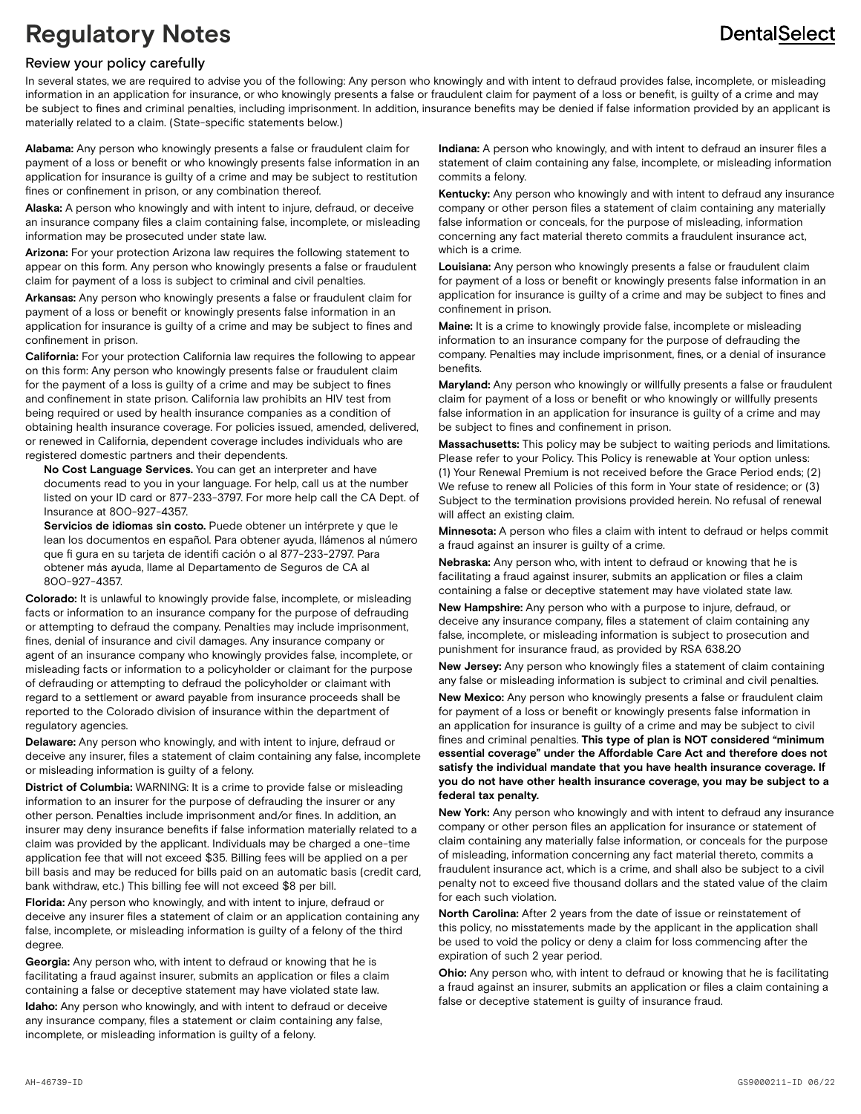### **DentalSelect**

## **Regulatory Notes**

#### Review your policy carefully

In several states, we are required to advise you of the following: Any person who knowingly and with intent to defraud provides false, incomplete, or misleading information in an application for insurance, or who knowingly presents a false or fraudulent claim for payment of a loss or benefit, is guilty of a crime and may be subject to fines and criminal penalties, including imprisonment. In addition, insurance benefits may be denied if false information provided by an applicant is materially related to a claim. (State-specific statements below.)

**Alabama:** Any person who knowingly presents a false or fraudulent claim for payment of a loss or benefit or who knowingly presents false information in an application for insurance is guilty of a crime and may be subject to restitution fines or confinement in prison, or any combination thereof.

**Alaska:** A person who knowingly and with intent to injure, defraud, or deceive an insurance company files a claim containing false, incomplete, or misleading information may be prosecuted under state law.

**Arizona:** For your protection Arizona law requires the following statement to appear on this form. Any person who knowingly presents a false or fraudulent claim for payment of a loss is subject to criminal and civil penalties.

**Arkansas:** Any person who knowingly presents a false or fraudulent claim for payment of a loss or benefit or knowingly presents false information in an application for insurance is guilty of a crime and may be subject to fines and confinement in prison.

**California:** For your protection California law requires the following to appear on this form: Any person who knowingly presents false or fraudulent claim for the payment of a loss is guilty of a crime and may be subject to fines and confinement in state prison. California law prohibits an HIV test from being required or used by health insurance companies as a condition of obtaining health insurance coverage. For policies issued, amended, delivered, or renewed in California, dependent coverage includes individuals who are registered domestic partners and their dependents.

 **No Cost Language Services.** You can get an interpreter and have documents read to you in your language. For help, call us at the number listed on your ID card or 877-233-3797. For more help call the CA Dept. of Insurance at 800-927-4357.

 **Servicios de idiomas sin costo.** Puede obtener un intérprete y que le lean los documentos en español. Para obtener ayuda, llámenos al número que fi gura en su tarjeta de identifi cación o al 877-233-2797. Para obtener más ayuda, llame al Departamento de Seguros de CA al 800-927-4357.

**Colorado:** It is unlawful to knowingly provide false, incomplete, or misleading facts or information to an insurance company for the purpose of defrauding or attempting to defraud the company. Penalties may include imprisonment, fines, denial of insurance and civil damages. Any insurance company or agent of an insurance company who knowingly provides false, incomplete, or misleading facts or information to a policyholder or claimant for the purpose of defrauding or attempting to defraud the policyholder or claimant with regard to a settlement or award payable from insurance proceeds shall be reported to the Colorado division of insurance within the department of regulatory agencies.

**Delaware:** Any person who knowingly, and with intent to injure, defraud or deceive any insurer, files a statement of claim containing any false, incomplete or misleading information is guilty of a felony.

**District of Columbia:** WARNING: It is a crime to provide false or misleading information to an insurer for the purpose of defrauding the insurer or any other person. Penalties include imprisonment and/or fines. In addition, an insurer may deny insurance benefits if false information materially related to a claim was provided by the applicant. Individuals may be charged a one-time application fee that will not exceed \$35. Billing fees will be applied on a per bill basis and may be reduced for bills paid on an automatic basis (credit card, bank withdraw, etc.) This billing fee will not exceed \$8 per bill.

**Florida:** Any person who knowingly, and with intent to injure, defraud or deceive any insurer files a statement of claim or an application containing any false, incomplete, or misleading information is guilty of a felony of the third degree.

**Georgia:** Any person who, with intent to defraud or knowing that he is facilitating a fraud against insurer, submits an application or files a claim containing a false or deceptive statement may have violated state law.

**Idaho:** Any person who knowingly, and with intent to defraud or deceive any insurance company, files a statement or claim containing any false, incomplete, or misleading information is guilty of a felony.

**Indiana:** A person who knowingly, and with intent to defraud an insurer files a statement of claim containing any false, incomplete, or misleading information commits a felony.

**Kentucky:** Any person who knowingly and with intent to defraud any insurance company or other person files a statement of claim containing any materially false information or conceals, for the purpose of misleading, information concerning any fact material thereto commits a fraudulent insurance act, which is a crime.

**Louisiana:** Any person who knowingly presents a false or fraudulent claim for payment of a loss or benefit or knowingly presents false information in an application for insurance is guilty of a crime and may be subject to fines and confinement in prison.

**Maine:** It is a crime to knowingly provide false, incomplete or misleading information to an insurance company for the purpose of defrauding the company. Penalties may include imprisonment, fines, or a denial of insurance benefits.

**Maryland:** Any person who knowingly or willfully presents a false or fraudulent claim for payment of a loss or benefit or who knowingly or willfully presents false information in an application for insurance is guilty of a crime and may be subject to fines and confinement in prison.

**Massachusetts:** This policy may be subject to waiting periods and limitations. Please refer to your Policy. This Policy is renewable at Your option unless: (1) Your Renewal Premium is not received before the Grace Period ends; (2) We refuse to renew all Policies of this form in Your state of residence; or (3) Subject to the termination provisions provided herein. No refusal of renewal will affect an existing claim.

**Minnesota:** A person who files a claim with intent to defraud or helps commit a fraud against an insurer is guilty of a crime.

**Nebraska:** Any person who, with intent to defraud or knowing that he is facilitating a fraud against insurer, submits an application or files a claim containing a false or deceptive statement may have violated state law.

**New Hampshire:** Any person who with a purpose to injure, defraud, or deceive any insurance company, files a statement of claim containing any false, incomplete, or misleading information is subject to prosecution and punishment for insurance fraud, as provided by RSA 638.20

**New Jersey:** Any person who knowingly files a statement of claim containing any false or misleading information is subject to criminal and civil penalties.

**New Mexico:** Any person who knowingly presents a false or fraudulent claim for payment of a loss or benefit or knowingly presents false information in an application for insurance is guilty of a crime and may be subject to civil fines and criminal penalties. **This type of plan is NOT considered "minimum essential coverage" under the Affordable Care Act and therefore does not satisfy the individual mandate that you have health insurance coverage. If you do not have other health insurance coverage, you may be subject to a federal tax penalty.**

**New York:** Any person who knowingly and with intent to defraud any insurance company or other person files an application for insurance or statement of claim containing any materially false information, or conceals for the purpose of misleading, information concerning any fact material thereto, commits a fraudulent insurance act, which is a crime, and shall also be subject to a civil penalty not to exceed five thousand dollars and the stated value of the claim for each such violation.

**North Carolina:** After 2 years from the date of issue or reinstatement of this policy, no misstatements made by the applicant in the application shall be used to void the policy or deny a claim for loss commencing after the expiration of such 2 year period.

**Ohio:** Any person who, with intent to defraud or knowing that he is facilitating a fraud against an insurer, submits an application or files a claim containing a false or deceptive statement is guilty of insurance fraud.